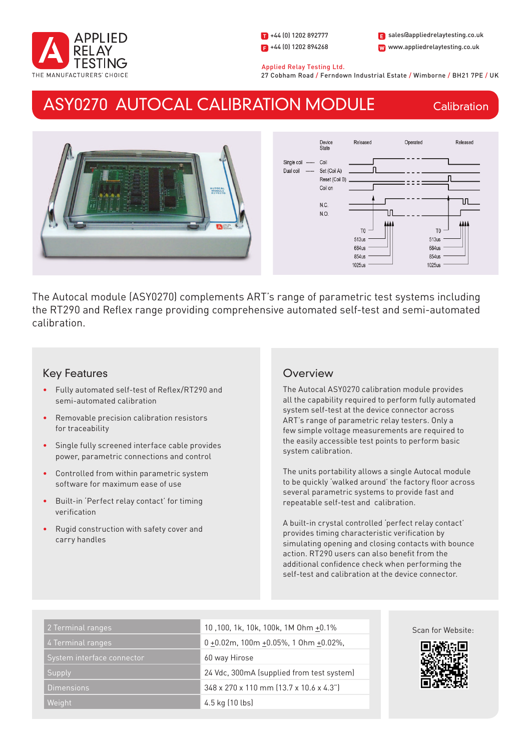

1 +44 (0) 1202 892777  $\Box$  +44 (0) 1202 894268 W www.appliedrelaytesting.co.uk sales@appliedrelaytesting.co.uk

 Applied Relay Testing Ltd. 27 Cobham Road / Ferndown Industrial Estate / Wimborne / BH21 7PE / UK

## ASY0270 AUTOCAL CALIBRATION MODULE

**Calibration** 





The Autocal module (ASY0270) complements ART's range of parametric test systems including the RT290 and Reflex range providing comprehensive automated self-test and semi-automated calibration.

### Key Features

- Fully automated self-test of Reflex/RT290 and semi-automated calibration
- Removable precision calibration resistors for traceability
- • Single fully screened interface cable provides power, parametric connections and control
- Controlled from within parametric system software for maximum ease of use
- Built-in 'Perfect relay contact' for timing verification
- Rugid construction with safety cover and carry handles

## **Overview**

The Autocal ASY0270 calibration module provides all the capability required to perform fully automated system self-test at the device connector across ART's range of parametric relay testers. Only a few simple voltage measurements are required to the easily accessible test points to perform basic system calibration.

The units portability allows a single Autocal module to be quickly 'walked around' the factory floor across several parametric systems to provide fast and repeatable self-test and calibration.

A built-in crystal controlled 'perfect relay contact' provides timing characteristic verification by simulating opening and closing contacts with bounce action. RT290 users can also benefit from the additional confidence check when performing the self-test and calibration at the device connector.

| 2 Terminal ranges          | 10,100, 1k, 10k, 100k, 1M 0hm +0.1%       | Scan for Website: |
|----------------------------|-------------------------------------------|-------------------|
| 4 Terminal ranges          | $0 + 0.02$ m, 100m +0.05%, 10hm +0.02%,   | 鳳凰                |
| System interface connector | 60 way Hirose                             |                   |
| Supply                     | 24 Vdc, 300mA (supplied from test system) |                   |
| <b>Dimensions</b>          | 348 x 270 x 110 mm (13.7 x 10.6 x 4.3")   |                   |
| Weight                     | 4.5 kg (10 lbs)                           |                   |